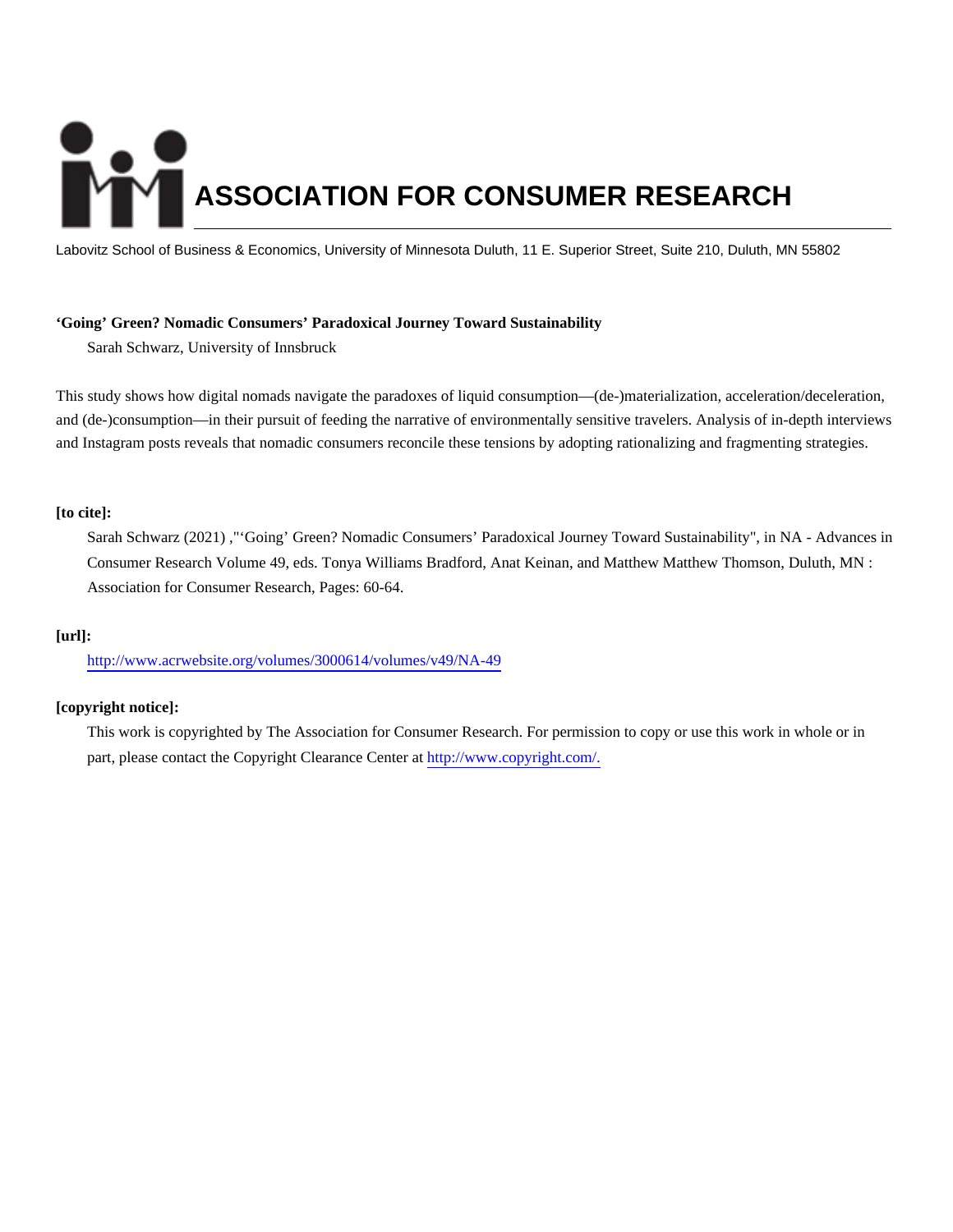# **ASSOCIATION FOR CONSUMER RESEARCH**

Labovitz School of Business & Economics, University of Minnesota Duluth, 11 E. Superior Street, Suite 210, Duluth, MN 55802

# **'Going' Green? Nomadic Consumers' Paradoxical Journey Toward Sustainability**

Sarah Schwarz, University of Innsbruck

This study shows how digital nomads navigate the paradoxes of liquid consumption—(de-)materialization, acceleration/deceleration, and (de-)consumption—in their pursuit of feeding the narrative of environmentally sensitive travelers. Analysis of in-depth interviews and Instagram posts reveals that nomadic consumers reconcile these tensions by adopting rationalizing and fragmenting strategies.

# **[to cite]:**

Sarah Schwarz (2021) ,"'Going' Green? Nomadic Consumers' Paradoxical Journey Toward Sustainability", in NA - Advances in Consumer Research Volume 49, eds. Tonya Williams Bradford, Anat Keinan, and Matthew Matthew Thomson, Duluth, MN : Association for Consumer Research, Pages: 60-64.

# **[url]:**

<http://www.acrwebsite.org/volumes/3000614/volumes/v49/NA-49>

# **[copyright notice]:**

This work is copyrighted by The Association for Consumer Research. For permission to copy or use this work in whole or in part, please contact the Copyright Clearance Center at [http://www.copyright.com/.](http://www.copyright.com/)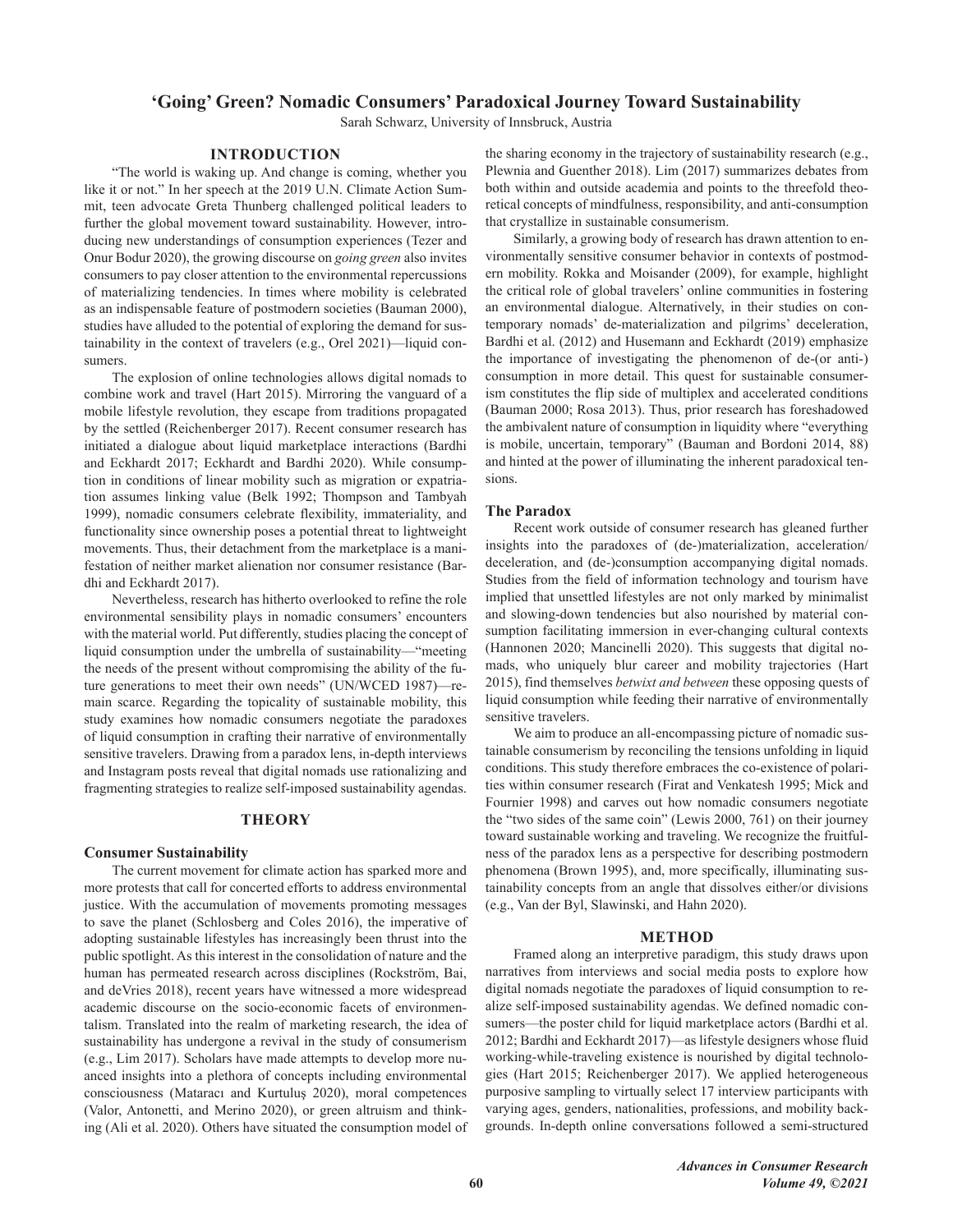# 'Going' Green? Nomadic Consumers' Paradoxical Journey Toward Sustainability

Sarah Schwarz, University of Innsbruck, Austria

# **INTRODUCTION**

"The world is waking up. And change is coming, whether you like it or not." In her speech at the 2019 U.N. Climate Action Summit, teen advocate Greta Thunberg challenged political leaders to further the global movement toward sustainability. However, introducing new understandings of consumption experiences (Tezer and Onur Bodur 2020), the growing discourse on *going green* also invites consumers to pay closer attention to the environmental repercussions of materializing tendencies. In times where mobility is celebrated as an indispensable feature of postmodern societies (Bauman 2000), studies have alluded to the potential of exploring the demand for sustainability in the context of travelers (e.g., Orel 2021)—liquid consumers.

The explosion of online technologies allows digital nomads to combine work and travel (Hart 2015). Mirroring the vanguard of a mobile lifestyle revolution, they escape from traditions propagated by the settled (Reichenberger 2017). Recent consumer research has initiated a dialogue about liquid marketplace interactions (Bardhi and Eckhardt 2017; Eckhardt and Bardhi 2020). While consumption in conditions of linear mobility such as migration or expatriation assumes linking value (Belk 1992; Thompson and Tambyah 1999), nomadic consumers celebrate flexibility, immateriality, and functionality since ownership poses a potential threat to lightweight movements. Thus, their detachment from the marketplace is a manifestation of neither market alienation nor consumer resistance (Bardhi and Eckhardt 2017).

Nevertheless, research has hitherto overlooked to refine the role environmental sensibility plays in nomadic consumers' encounters with the material world. Put differently, studies placing the concept of liquid consumption under the umbrella of sustainability-"meeting the needs of the present without compromising the ability of the future generations to meet their own needs" (UN/WCED 1987)—remain scarce. Regarding the topicality of sustainable mobility, this study examines how nomadic consumers negotiate the paradoxes of liquid consumption in crafting their narrative of environmentally sensitive travelers. Drawing from a paradox lens, in-depth interviews and Instagram posts reveal that digital nomads use rationalizing and fragmenting strategies to realize self-imposed sustainability agendas.

# **THEORY**

# **Consumer Sustainability**

The current movement for climate action has sparked more and more protests that call for concerted efforts to address environmental justice. With the accumulation of movements promoting messages to save the planet (Schlosberg and Coles 2016), the imperative of adopting sustainable lifestyles has increasingly been thrust into the public spotlight. As this interest in the consolidation of nature and the human has permeated research across disciplines (Rockström, Bai, and deVries 2018), recent years have witnessed a more widespread academic discourse on the socio-economic facets of environmentalism. Translated into the realm of marketing research, the idea of sustainability has undergone a revival in the study of consumerism (e.g., Lim 2017). Scholars have made attempts to develop more nuanced insights into a plethora of concepts including environmental consciousness (Mataracı and Kurtuluş 2020), moral competences (Valor, Antonetti, and Merino 2020), or green altruism and thinking (Ali et al. 2020). Others have situated the consumption model of the sharing economy in the trajectory of sustainability research (e.g., Plewnia and Guenther 2018). Lim (2017) summarizes debates from both within and outside academia and points to the threefold theoretical concepts of mindfulness, responsibility, and anti-consumption that crystallize in sustainable consumerism.

Similarly, a growing body of research has drawn attention to environmentally sensitive consumer behavior in contexts of postmodern mobility. Rokka and Moisander (2009), for example, highlight the critical role of global travelers' online communities in fostering an environmental dialogue. Alternatively, in their studies on contemporary nomads' de-materialization and pilgrims' deceleration, Bardhi et al. (2012) and Husemann and Eckhardt (2019) emphasize the importance of investigating the phenomenon of de-(or anti-) consumption in more detail. This quest for sustainable consumerism constitutes the flip side of multiplex and accelerated conditions (Bauman 2000; Rosa 2013). Thus, prior research has foreshadowed the ambivalent nature of consumption in liquidity where "everything is mobile, uncertain, temporary" (Bauman and Bordoni 2014, 88) and hinted at the power of illuminating the inherent paradoxical tensions.

# **The Paradox**

Recent work outside of consumer research has gleaned further insights into the paradoxes of (de-)materialization, acceleration/ deceleration, and (de-)consumption accompanying digital nomads. Studies from the field of information technology and tourism have implied that unsettled lifestyles are not only marked by minimalist and slowing-down tendencies but also nourished by material consumption facilitating immersion in ever-changing cultural contexts (Hannonen 2020; Mancinelli 2020). This suggests that digital nomads, who uniquely blur career and mobility trajectories (Hart 2015), find themselves *betwixt and between* these opposing quests of liquid consumption while feeding their narrative of environmentally sensitive travelers.

We aim to produce an all-encompassing picture of nomadic sustainable consumerism by reconciling the tensions unfolding in liquid conditions. This study therefore embraces the co-existence of polarities within consumer research (Firat and Venkatesh 1995; Mick and Fournier 1998) and carves out how nomadic consumers negotiate the "two sides of the same coin" (Lewis 2000, 761) on their journey toward sustainable working and traveling. We recognize the fruitfulness of the paradox lens as a perspective for describing postmodern phenomena (Brown 1995), and, more specifically, illuminating sustainability concepts from an angle that dissolves either/or divisions (e.g., Van der Byl, Slawinski, and Hahn 2020).

### **METHOD**

Framed along an interpretive paradigm, this study draws upon narratives from interviews and social media posts to explore how digital nomads negotiate the paradoxes of liquid consumption to realize self-imposed sustainability agendas. We defined nomadic consumers—the poster child for liquid marketplace actors (Bardhi et al. 2012; Bardhi and Eckhardt 2017)-as lifestyle designers whose fluid working-while-traveling existence is nourished by digital technologies (Hart 2015; Reichenberger 2017). We applied heterogeneous purposive sampling to virtually select 17 interview participants with varying ages, genders, nationalities, professions, and mobility backgrounds. In-depth online conversations followed a semi-structured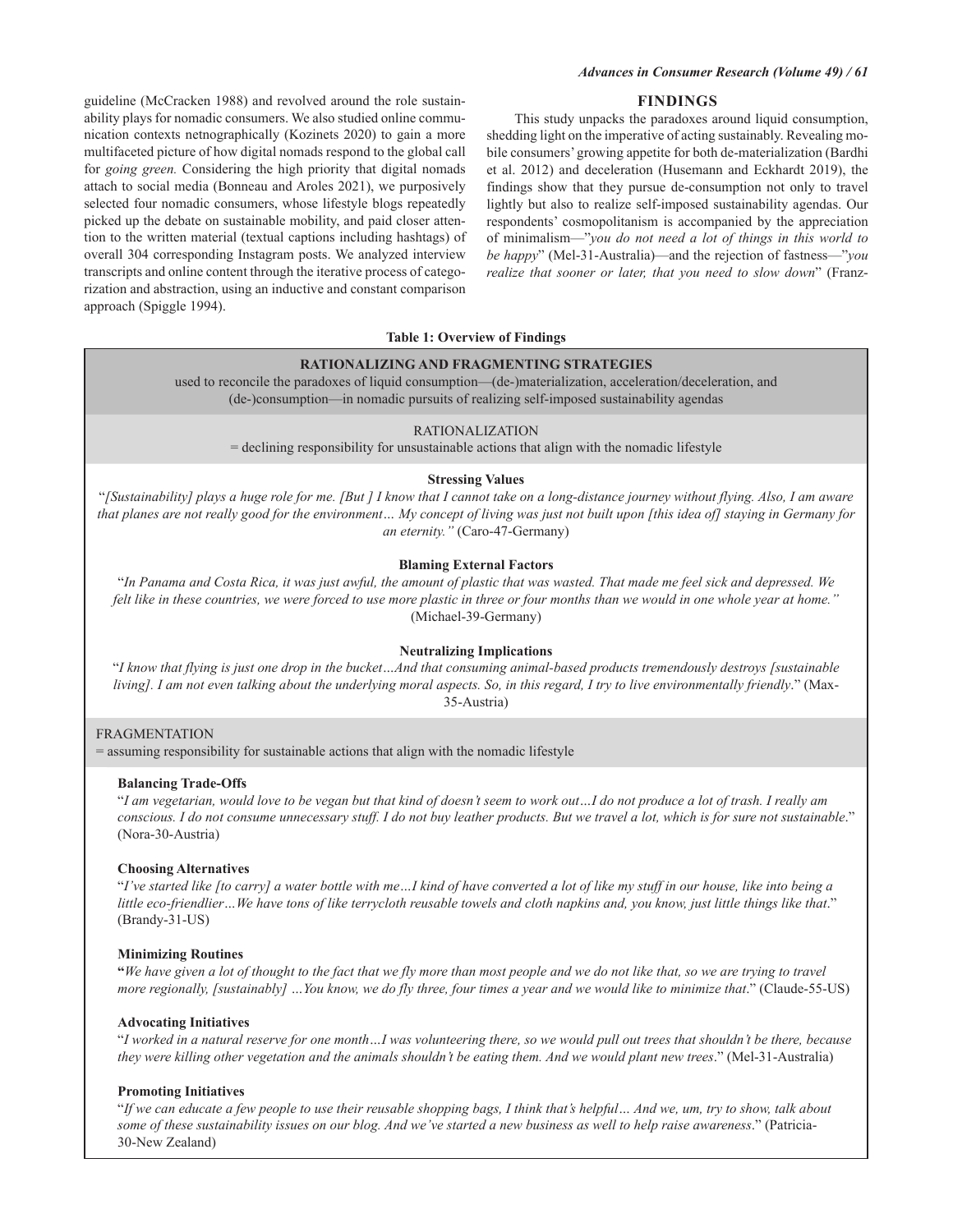# **FINDINGS**

guideline (McCracken 1988) and revolved around the role sustainability plays for nomadic consumers. We also studied online communication contexts netnographically (Kozinets 2020) to gain a more multifaceted picture of how digital nomads respond to the global call for *going green*. Considering the high priority that digital nomads attach to social media (Bonneau and Aroles 2021), we purposively selected four nomadic consumers, whose lifestyle blogs repeatedly picked up the debate on sustainable mobility, and paid closer attention to the written material (textual captions including hashtags) of overall 304 corresponding Instagram posts. We analyzed interview transcripts and online content through the iterative process of categorization and abstraction, using an inductive and constant comparison approach (Spiggle 1994).

This study unpacks the paradoxes around liquid consumption, shedding light on the imperative of acting sustainably. Revealing mobile consumers' growing appetite for both de-materialization (Bardhi et al. 2012) and deceleration (Husemann and Eckhardt 2019), the findings show that they pursue de-consumption not only to travel lightly but also to realize self-imposed sustainability agendas. Our respondents' cosmopolitanism is accompanied by the appreciation of minimalism—"you do not need a lot of things in this world to be happy" (Mel-31-Australia)—and the rejection of fastness—"you realize that sooner or later, that you need to slow down" (Franz-

### **Table 1: Overview of Findings**

# RATIONALIZING AND FRAGMENTING STRATEGIES

used to reconcile the paradoxes of liquid consumption—(de-)materialization, acceleration/deceleration, and (de-)consumption—in nomadic pursuits of realizing self-imposed sustainability agendas

### **RATIONALIZATION**

= declining responsibility for unsustainable actions that align with the nomadic lifestyle

# **Stressing Values**

"[Sustainability] plays a huge role for me. [But ] I know that I cannot take on a long-distance journey without flying. Also, I am aware that planes are not really good for the environment... My concept of living was just not built upon [this idea of] staying in Germany for an eternity." (Caro-47-Germany)

# **Blaming External Factors**

"In Panama and Costa Rica, it was just awful, the amount of plastic that was wasted. That made me feel sick and depressed. We felt like in these countries, we were forced to use more plastic in three or four months than we would in one whole year at home." (Michael-39-Germany)

# **Neutralizing Implications**

"I know that flying is just one drop in the bucket...And that consuming animal-based products tremendously destroys [sustainable living]. I am not even talking about the underlying moral aspects. So, in this regard, I try to live environmentally friendly." (Max-35-Austria)

# **FRAGMENTATION**

= assuming responsibility for sustainable actions that align with the nomadic lifestyle

### **Balancing Trade-Offs**

"I am vegetarian, would love to be vegan but that kind of doesn't seem to work out...I do not produce a lot of trash. I really am conscious. I do not consume unnecessary stuff. I do not buy leather products. But we travel a lot, which is for sure not sustainable." (Nora-30-Austria)

# **Choosing Alternatives**

"I've started like [to carry] a water bottle with me...I kind of have converted a lot of like my stuff in our house, like into being a little eco-friendlier...We have tons of like terrycloth reusable towels and cloth napkins and, you know, just little things like that."  $(Brandy-31-US)$ 

# **Minimizing Routines**

"We have given a lot of thought to the fact that we fly more than most people and we do not like that, so we are trying to travel more regionally, [sustainably] ... You know, we do fly three, four times a year and we would like to minimize that." (Claude-55-US)

### **Advocating Initiatives**

"I worked in a natural reserve for one month...I was volunteering there, so we would pull out trees that shouldn't be there, because they were killing other vegetation and the animals shouldn't be eating them. And we would plant new trees." (Mel-31-Australia)

# **Promoting Initiatives**

"If we can educate a few people to use their reusable shopping bags, I think that's helpful... And we, um, try to show, talk about some of these sustainability issues on our blog. And we've started a new business as well to help raise awareness." (Patricia-30-New Zealand)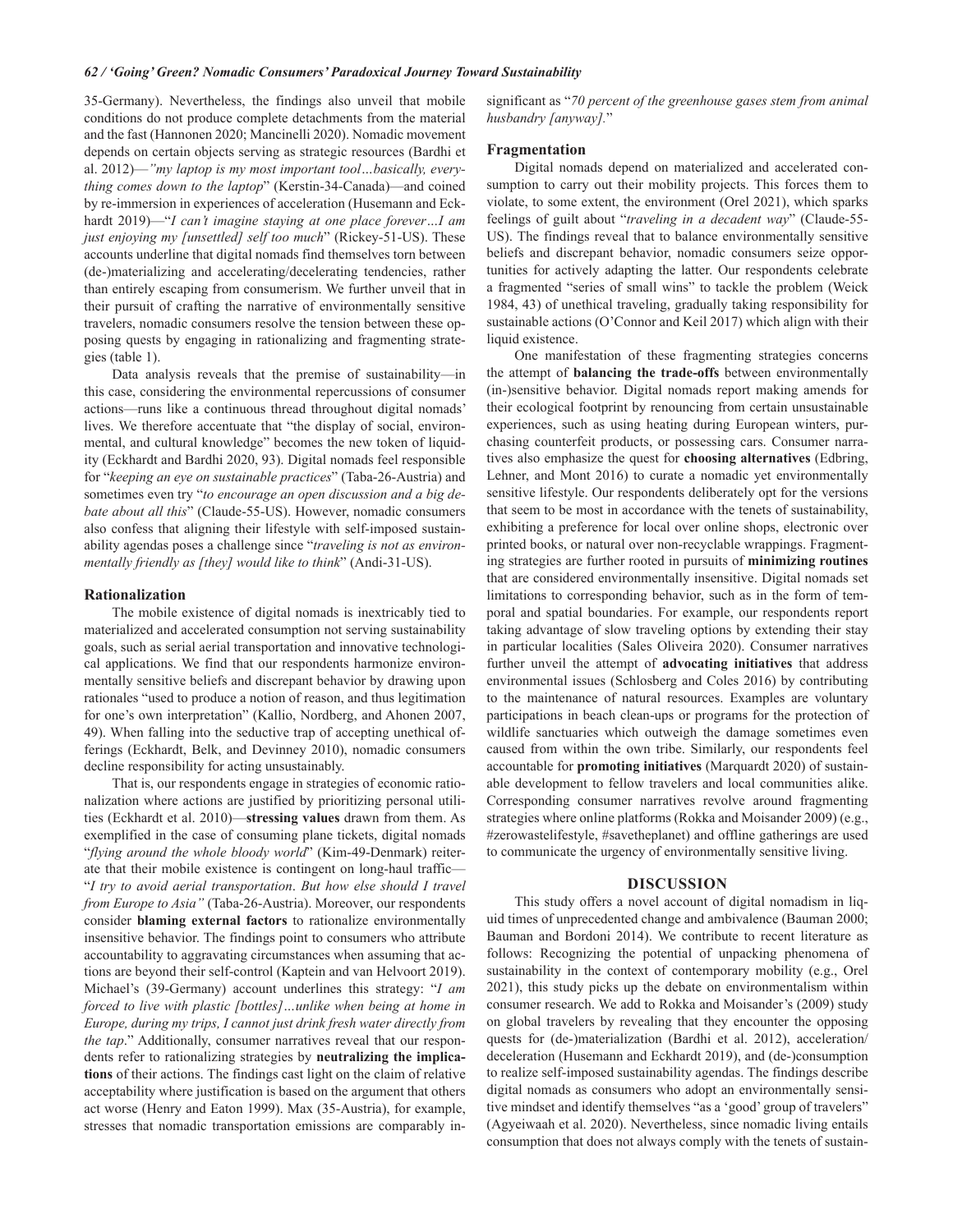35-Germany). Nevertheless, the findings also unveil that mobile conditions do not produce complete detachments from the material and the fast (Hannonen 2020; Mancinelli 2020). Nomadic movement depends on certain objects serving as strategic resources (Bardhi et al. 2012)—"my laptop is my most important tool...basically, everything comes down to the laptop" (Kerstin-34-Canada)—and coined by re-immersion in experiences of acceleration (Husemann and Eckhardt 2019)-"I can't imagine staying at one place forever...I am just enjoying my [unsettled] self too much" (Rickey-51-US). These accounts underline that digital nomads find themselves torn between (de-)materializing and accelerating/decelerating tendencies, rather than entirely escaping from consumerism. We further unveil that in their pursuit of crafting the narrative of environmentally sensitive travelers, nomadic consumers resolve the tension between these opposing quests by engaging in rationalizing and fragmenting strategies (table 1).

Data analysis reveals that the premise of sustainability-in this case, considering the environmental repercussions of consumer actions-runs like a continuous thread throughout digital nomads' lives. We therefore accentuate that "the display of social, environmental, and cultural knowledge" becomes the new token of liquidity (Eckhardt and Bardhi 2020, 93). Digital nomads feel responsible for "keeping an eye on sustainable practices" (Taba-26-Austria) and sometimes even try "to encourage an open discussion and a big debate about all this" (Claude-55-US). However, nomadic consumers also confess that aligning their lifestyle with self-imposed sustainability agendas poses a challenge since "traveling is not as environmentally friendly as [they] would like to think" (Andi-31-US).

### **Rationalization**

The mobile existence of digital nomads is inextricably tied to materialized and accelerated consumption not serving sustainability goals, such as serial aerial transportation and innovative technological applications. We find that our respondents harmonize environmentally sensitive beliefs and discrepant behavior by drawing upon rationales "used to produce a notion of reason, and thus legitimation for one's own interpretation" (Kallio, Nordberg, and Ahonen 2007, 49). When falling into the seductive trap of accepting unethical offerings (Eckhardt, Belk, and Devinney 2010), nomadic consumers decline responsibility for acting unsustainably.

That is, our respondents engage in strategies of economic rationalization where actions are justified by prioritizing personal utilities (Eckhardt et al. 2010)—stressing values drawn from them. As exemplified in the case of consuming plane tickets, digital nomads "flying around the whole bloody world" (Kim-49-Denmark) reiterate that their mobile existence is contingent on long-haul traffic-"I try to avoid aerial transportation. But how else should I travel from Europe to Asia" (Taba-26-Austria). Moreover, our respondents consider blaming external factors to rationalize environmentally insensitive behavior. The findings point to consumers who attribute accountability to aggravating circumstances when assuming that actions are beyond their self-control (Kaptein and van Helvoort 2019). Michael's (39-Germany) account underlines this strategy: "I am forced to live with plastic [bottles]...unlike when being at home in Europe, during my trips, I cannot just drink fresh water directly from the tap." Additionally, consumer narratives reveal that our respondents refer to rationalizing strategies by neutralizing the implications of their actions. The findings cast light on the claim of relative acceptability where justification is based on the argument that others act worse (Henry and Eaton 1999). Max (35-Austria), for example, stresses that nomadic transportation emissions are comparably insignificant as "70 percent of the greenhouse gases stem from animal husbandry [anyway]."

### Fragmentation

Digital nomads depend on materialized and accelerated consumption to carry out their mobility projects. This forces them to violate, to some extent, the environment (Orel 2021), which sparks feelings of guilt about "traveling in a decadent way" (Claude-55-US). The findings reveal that to balance environmentally sensitive beliefs and discrepant behavior, nomadic consumers seize opportunities for actively adapting the latter. Our respondents celebrate a fragmented "series of small wins" to tackle the problem (Weick 1984, 43) of unethical traveling, gradually taking responsibility for sustainable actions (O'Connor and Keil 2017) which align with their liquid existence.

One manifestation of these fragmenting strategies concerns the attempt of **balancing** the trade-offs between environmentally (in-)sensitive behavior. Digital nomads report making amends for their ecological footprint by renouncing from certain unsustainable experiences, such as using heating during European winters, purchasing counterfeit products, or possessing cars. Consumer narratives also emphasize the quest for choosing alternatives (Edbring, Lehner, and Mont 2016) to curate a nomadic yet environmentally sensitive lifestyle. Our respondents deliberately opt for the versions that seem to be most in accordance with the tenets of sustainability, exhibiting a preference for local over online shops, electronic over printed books, or natural over non-recyclable wrappings. Fragmenting strategies are further rooted in pursuits of minimizing routines that are considered environmentally insensitive. Digital nomads set limitations to corresponding behavior, such as in the form of temporal and spatial boundaries. For example, our respondents report taking advantage of slow traveling options by extending their stay in particular localities (Sales Oliveira 2020). Consumer narratives further unveil the attempt of advocating initiatives that address environmental issues (Schlosberg and Coles 2016) by contributing to the maintenance of natural resources. Examples are voluntary participations in beach clean-ups or programs for the protection of wildlife sanctuaries which outweigh the damage sometimes even caused from within the own tribe. Similarly, our respondents feel accountable for promoting initiatives (Marquardt 2020) of sustainable development to fellow travelers and local communities alike. Corresponding consumer narratives revolve around fragmenting strategies where online platforms (Rokka and Moisander 2009) (e.g., #zerowastelifestyle, #savetheplanet) and offline gatherings are used to communicate the urgency of environmentally sensitive living.

# **DISCUSSION**

This study offers a novel account of digital nomadism in liquid times of unprecedented change and ambivalence (Bauman 2000; Bauman and Bordoni 2014). We contribute to recent literature as follows: Recognizing the potential of unpacking phenomena of sustainability in the context of contemporary mobility (e.g., Orel 2021), this study picks up the debate on environmentalism within consumer research. We add to Rokka and Moisander's (2009) study on global travelers by revealing that they encounter the opposing quests for (de-)materialization (Bardhi et al. 2012), acceleration/ deceleration (Husemann and Eckhardt 2019), and (de-)consumption to realize self-imposed sustainability agendas. The findings describe digital nomads as consumers who adopt an environmentally sensitive mindset and identify themselves "as a 'good' group of travelers" (Agyeiwaah et al. 2020). Nevertheless, since nomadic living entails consumption that does not always comply with the tenets of sustain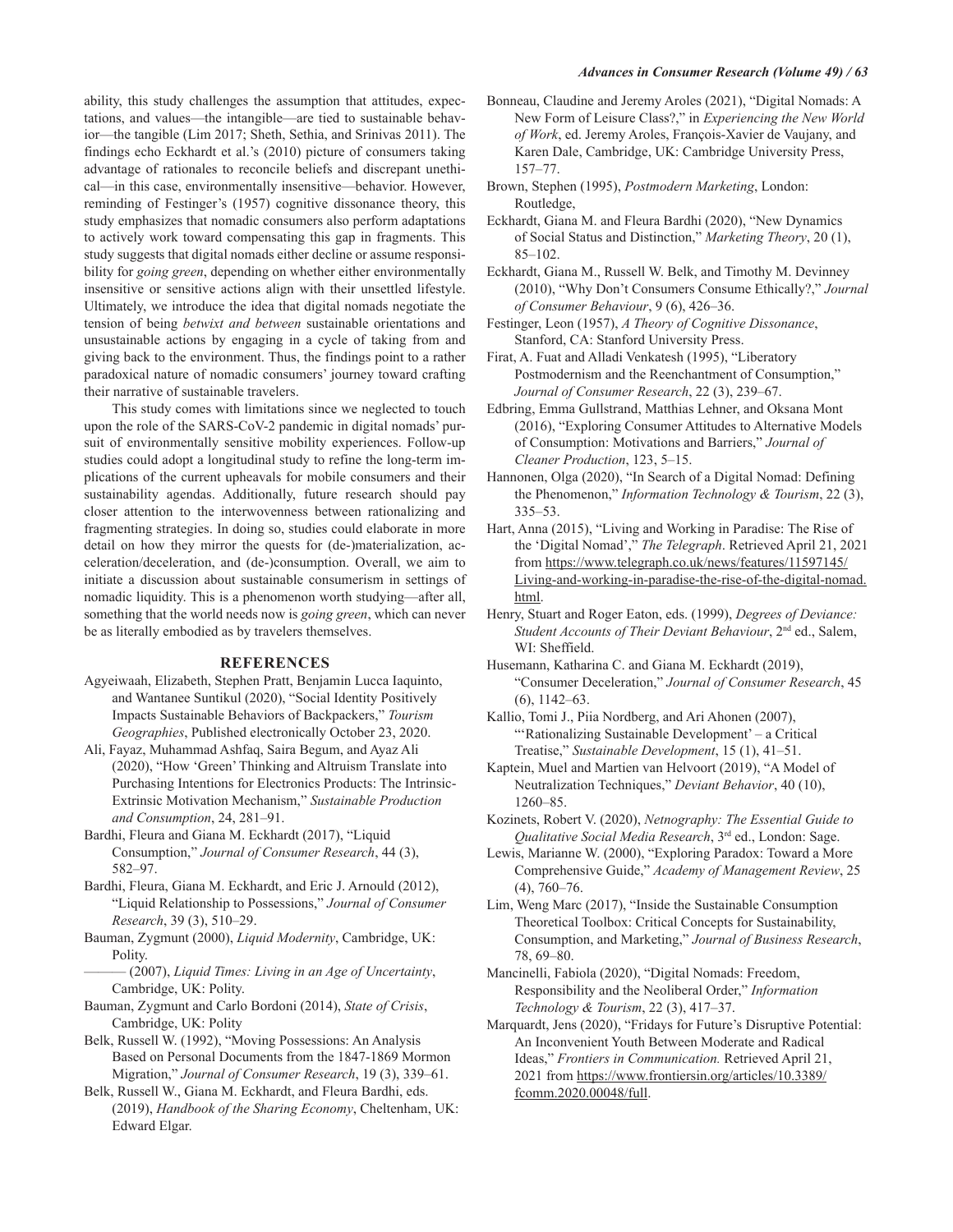ability, this study challenges the assumption that attitudes, expectations, and values—the intangible—are tied to sustainable behavior—the tangible (Lim 2017; Sheth, Sethia, and Srinivas 2011). The findings echo Eckhardt et al.'s (2010) picture of consumers taking advantage of rationales to reconcile beliefs and discrepant unethical—in this case, environmentally insensitive—behavior. However, reminding of Festinger's (1957) cognitive dissonance theory, this study emphasizes that nomadic consumers also perform adaptations to actively work toward compensating this gap in fragments. This study suggests that digital nomads either decline or assume responsibility for going green, depending on whether either environmentally insensitive or sensitive actions align with their unsettled lifestyle. Ultimately, we introduce the idea that digital nomads negotiate the tension of being *betwixt and between* sustainable orientations and unsustainable actions by engaging in a cycle of taking from and giving back to the environment. Thus, the findings point to a rather paradoxical nature of nomadic consumers' journey toward crafting their narrative of sustainable travelers.

This study comes with limitations since we neglected to touch upon the role of the SARS-CoV-2 pandemic in digital nomads' pursuit of environmentally sensitive mobility experiences. Follow-up studies could adopt a longitudinal study to refine the long-term implications of the current upheavals for mobile consumers and their sustainability agendas. Additionally, future research should pay closer attention to the interwovenness between rationalizing and fragmenting strategies. In doing so, studies could elaborate in more detail on how they mirror the quests for (de-)materialization, acceleration/deceleration, and (de-)consumption. Overall, we aim to initiate a discussion about sustainable consumerism in settings of nomadic liquidity. This is a phenomenon worth studying-after all, something that the world needs now is *going green*, which can never be as literally embodied as by travelers themselves.

### **REFERENCES**

- Agyeiwaah, Elizabeth, Stephen Pratt, Benjamin Lucca Iaquinto, and Wantanee Suntikul (2020), "Social Identity Positively Impacts Sustainable Behaviors of Backpackers," Tourism Geographies, Published electronically October 23, 2020.
- Ali, Fayaz, Muhammad Ashfaq, Saira Begum, and Ayaz Ali (2020), "How 'Green' Thinking and Altruism Translate into Purchasing Intentions for Electronics Products: The Intrinsic-Extrinsic Motivation Mechanism," Sustainable Production and Consumption, 24, 281-91.
- Bardhi, Fleura and Giana M. Eckhardt (2017), "Liquid Consumption," Journal of Consumer Research, 44 (3), 582-97.
- Bardhi, Fleura, Giana M. Eckhardt, and Eric J. Arnould (2012), "Liquid Relationship to Possessions," Journal of Consumer Research, 39 (3), 510-29.
- Bauman, Zygmunt (2000), Liquid Modernity, Cambridge, UK: Polity.
- (2007), Liquid Times: Living in an Age of Uncertainty, Cambridge, UK: Polity.
- Bauman, Zygmunt and Carlo Bordoni (2014), State of Crisis, Cambridge, UK: Polity
- Belk, Russell W. (1992), "Moving Possessions: An Analysis Based on Personal Documents from the 1847-1869 Mormon Migration," Journal of Consumer Research, 19 (3), 339-61.
- Belk, Russell W., Giana M. Eckhardt, and Fleura Bardhi, eds. (2019), Handbook of the Sharing Economy, Cheltenham, UK: Edward Elgar.
- Bonneau, Claudine and Jeremy Aroles (2021), "Digital Nomads: A New Form of Leisure Class?," in Experiencing the New World of Work, ed. Jeremy Aroles, François-Xavier de Vaujany, and Karen Dale, Cambridge, UK: Cambridge University Press,  $157 - 77.$
- Brown, Stephen (1995), Postmodern Marketing, London: Routledge,
- Eckhardt, Giana M. and Fleura Bardhi (2020), "New Dynamics of Social Status and Distinction," Marketing Theory, 20 (1),  $85 - 102$
- Eckhardt, Giana M., Russell W. Belk, and Timothy M. Devinney (2010), "Why Don't Consumers Consume Ethically?," Journal of Consumer Behaviour, 9 (6), 426-36.
- Festinger, Leon (1957), A Theory of Cognitive Dissonance, Stanford, CA: Stanford University Press.
- Firat, A. Fuat and Alladi Venkatesh (1995), "Liberatory Postmodernism and the Reenchantment of Consumption," Journal of Consumer Research, 22 (3), 239-67.
- Edbring, Emma Gullstrand, Matthias Lehner, and Oksana Mont (2016), "Exploring Consumer Attitudes to Alternative Models of Consumption: Motivations and Barriers," Journal of Cleaner Production, 123, 5-15.
- Hannonen, Olga (2020), "In Search of a Digital Nomad: Defining the Phenomenon," Information Technology & Tourism, 22 (3),  $335 - 53$ .
- Hart, Anna (2015), "Living and Working in Paradise: The Rise of the 'Digital Nomad'," The Telegraph. Retrieved April 21, 2021 from https://www.telegraph.co.uk/news/features/11597145/ Living-and-working-in-paradise-the-rise-of-the-digital-nomad. html.
- Henry, Stuart and Roger Eaton, eds. (1999), Degrees of Deviance: Student Accounts of Their Deviant Behaviour, 2<sup>nd</sup> ed., Salem, WI: Sheffield.
- Husemann, Katharina C. and Giana M. Eckhardt (2019), "Consumer Deceleration," Journal of Consumer Research, 45  $(6)$ , 1142-63.
- Kallio, Tomi J., Piia Nordberg, and Ari Ahonen (2007), "'Rationalizing Sustainable Development' - a Critical Treatise," Sustainable Development, 15 (1), 41-51.
- Kaptein, Muel and Martien van Helvoort (2019), "A Model of Neutralization Techniques," Deviant Behavior, 40 (10),  $1260 - 85.$
- Kozinets, Robert V. (2020), Netnography: The Essential Guide to Qualitative Social Media Research, 3rd ed., London: Sage.
- Lewis, Marianne W. (2000), "Exploring Paradox: Toward a More Comprehensive Guide," Academy of Management Review, 25  $(4), 760 - 76.$
- Lim, Weng Marc (2017), "Inside the Sustainable Consumption Theoretical Toolbox: Critical Concepts for Sustainability, Consumption, and Marketing," Journal of Business Research, 78, 69-80.
- Mancinelli, Fabiola (2020), "Digital Nomads: Freedom, Responsibility and the Neoliberal Order," Information Technology & Tourism, 22 (3), 417-37.
- Marquardt, Jens (2020), "Fridays for Future's Disruptive Potential: An Inconvenient Youth Between Moderate and Radical Ideas," Frontiers in Communication. Retrieved April 21, 2021 from https://www.frontiersin.org/articles/10.3389/ fcomm.2020.00048/full.